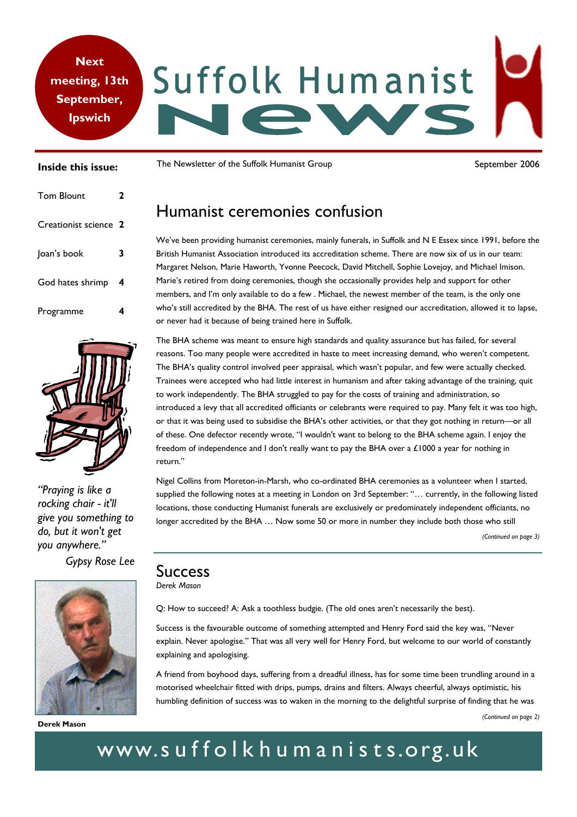# **Next**  Suffolk Humanist **meeting, 13th September, Ipswich**

#### **Inside this issue:**

| <b>Tom Blount</b>     | 2 |
|-----------------------|---|
| Creationist science 2 |   |
| Joan's book           | 3 |
| God hates shrimp      | 4 |
| Programme             |   |



*"Praying is like a rocking chair - it'll give you something to do, but it won't get you anywhere."* 

*Gypsy Rose Lee* 



**Derek Mason** 

The Newsletter of the Suffolk Humanist Group September 2006

# Humanist ceremonies confusion

We've been providing humanist ceremonies, mainly funerals, in Suffolk and N E Essex since 1991, before the British Humanist Association introduced its accreditation scheme. There are now six of us in our team: Margaret Nelson, Marie Haworth, Yvonne Peecock, David Mitchell, Sophie Lovejoy, and Michael Imison. Marie's retired from doing ceremonies, though she occasionally provides help and support for other members, and I'm only available to do a few . Michael, the newest member of the team, is the only one who's still accredited by the BHA. The rest of us have either resigned our accreditation, allowed it to lapse, or never had it because of being trained here in Suffolk.

The BHA scheme was meant to ensure high standards and quality assurance but has failed, for several reasons. Too many people were accredited in haste to meet increasing demand, who weren't competent. The BHA's quality control involved peer appraisal, which wasn't popular, and few were actually checked. Trainees were accepted who had little interest in humanism and after taking advantage of the training, quit to work independently. The BHA struggled to pay for the costs of training and administration, so introduced a levy that all accredited officiants or celebrants were required to pay. Many felt it was too high, or that it was being used to subsidise the BHA's other activities, or that they got nothing in return—or all of these. One defector recently wrote, "I wouldn't want to belong to the BHA scheme again. I enjoy the freedom of independence and I don't really want to pay the BHA over a £1000 a year for nothing in return."

Nigel Collins from Moreton-in-Marsh, who co-ordinated BHA ceremonies as a volunteer when I started, supplied the following notes at a meeting in London on 3rd September: "… currently, in the following listed locations, those conducting Humanist funerals are exclusively or predominately independent officiants, no longer accredited by the BHA ... Now some 50 or more in number they include both those who still

*(Continued on page 3)* 

### **Success** *Derek Mason*

Q: How to succeed? A: Ask a toothless budgie. (The old ones aren't necessarily the best).

Success is the favourable outcome of something attempted and Henry Ford said the key was, "Never explain. Never apologise." That was all very well for Henry Ford, but welcome to our world of constantly explaining and apologising.

A friend from boyhood days, suffering from a dreadful illness, has for some time been trundling around in a motorised wheelchair fitted with drips, pumps, drains and filters. Always cheerful, always optimistic, his humbling definition of success was to waken in the morning to the delightful surprise of finding that he was

# www.suffolkhumanists.org.uk

*<sup>(</sup>Continued on page 2)*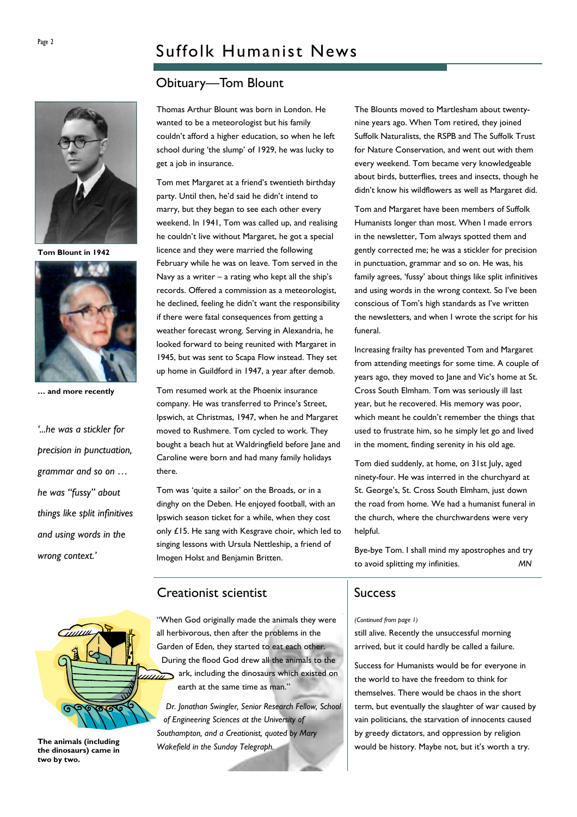# Obituary—Tom Blount



**Tom Blount in 1942** 



**… and more recently** 

*'...he was a stickler for precision in punctuation, grammar and so on … he was "fussy" about things like split infinitives and using words in the wrong context.'* 

Thomas Arthur Blount was born in London. He wanted to be a meteorologist but his family couldn't afford a higher education, so when he left school during 'the slump' of 1929, he was lucky to get a job in insurance.

Tom met Margaret at a friend's twentieth birthday party. Until then, he'd said he didn't intend to marry, but they began to see each other every weekend. In 1941, Tom was called up, and realising he couldn't live without Margaret, he got a special licence and they were married the following February while he was on leave. Tom served in the Navy as a writer – a rating who kept all the ship's records. Offered a commission as a meteorologist, he declined, feeling he didn't want the responsibility if there were fatal consequences from getting a weather forecast wrong. Serving in Alexandria, he looked forward to being reunited with Margaret in 1945, but was sent to Scapa Flow instead. They set up home in Guildford in 1947, a year after demob.

Tom resumed work at the Phoenix insurance company. He was transferred to Prince's Street, Ipswich, at Christmas, 1947, when he and Margaret moved to Rushmere. Tom cycled to work. They bought a beach hut at Waldringfield before Jane and Caroline were born and had many family holidays there.

Tom was 'quite a sailor' on the Broads, or in a dinghy on the Deben. He enjoyed football, with an Ipswich season ticket for a while, when they cost only £15. He sang with Kesgrave choir, which led to singing lessons with Ursula Nettleship, a friend of Imogen Holst and Benjamin Britten.

The Blounts moved to Martlesham about twentynine years ago. When Tom retired, they joined Suffolk Naturalists, the RSPB and The Suffolk Trust for Nature Conservation, and went out with them every weekend. Tom became very knowledgeable about birds, butterflies, trees and insects, though he didn't know his wildflowers as well as Margaret did.

Tom and Margaret have been members of Suffolk Humanists longer than most. When I made errors in the newsletter, Tom always spotted them and gently corrected me; he was a stickler for precision in punctuation, grammar and so on. He was, his family agrees, 'fussy' about things like split infinitives and using words in the wrong context. So I've been conscious of Tom's high standards as I've written the newsletters, and when I wrote the script for his funeral.

Increasing frailty has prevented Tom and Margaret from attending meetings for some time. A couple of years ago, they moved to Jane and Vic's home at St. Cross South Elmham. Tom was seriously ill last year, but he recovered. His memory was poor, which meant he couldn't remember the things that used to frustrate him, so he simply let go and lived in the moment, finding serenity in his old age.

Tom died suddenly, at home, on 31st July, aged ninety-four. He was interred in the churchyard at St. George's, St. Cross South Elmham, just down the road from home. We had a humanist funeral in the church, where the churchwardens were very helpful.

Bye-bye Tom. I shall mind my apostrophes and try to avoid splitting my infinities. *MN* 

# Creationist scientist

"When God originally made the animals they were all herbivorous, then after the problems in the Garden of Eden, they started to eat each other. During the flood God drew all the animals to the  $\overline{u}$  ark, including the dinosaurs which existed on earth at the same time as man."

*Dr. Jonathan Swingler, Senior Research Fellow, School of Engineering Sciences at the University of Southampton, and a Creationist, quoted by Mary Wakefield in the Sunday Telegraph.* 

## Success

#### *(Continued from page 1)*

still alive. Recently the unsuccessful morning arrived, but it could hardly be called a failure.

Success for Humanists would be for everyone in the world to have the freedom to think for themselves. There would be chaos in the short term, but eventually the slaughter of war caused by vain politicians, the starvation of innocents caused by greedy dictators, and oppression by religion would be history. Maybe not, but it's worth a try.



**The animals (including the dinosaurs) came in two by two.**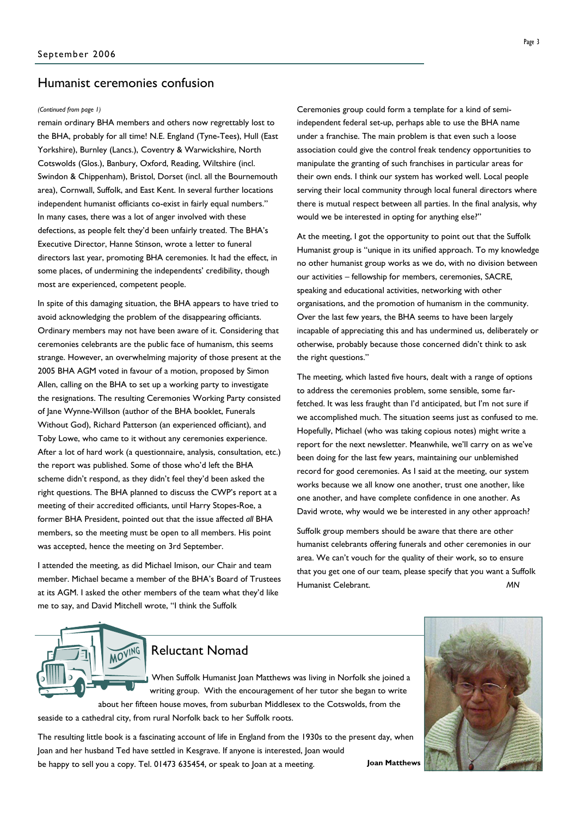## Humanist ceremonies confusion

remain ordinary BHA members and others now regrettably lost to the BHA, probably for all time! N.E. England (Tyne-Tees), Hull (East Yorkshire), Burnley (Lancs.), Coventry & Warwickshire, North Cotswolds (Glos.), Banbury, Oxford, Reading, Wiltshire (incl. Swindon & Chippenham), Bristol, Dorset (incl. all the Bournemouth area), Cornwall, Suffolk, and East Kent. In several further locations independent humanist officiants co-exist in fairly equal numbers." In many cases, there was a lot of anger involved with these defections, as people felt they'd been unfairly treated. The BHA's Executive Director, Hanne Stinson, wrote a letter to funeral directors last year, promoting BHA ceremonies. It had the effect, in some places, of undermining the independents' credibility, though most are experienced, competent people.

In spite of this damaging situation, the BHA appears to have tried to avoid acknowledging the problem of the disappearing officiants. Ordinary members may not have been aware of it. Considering that ceremonies celebrants are the public face of humanism, this seems strange. However, an overwhelming majority of those present at the 2005 BHA AGM voted in favour of a motion, proposed by Simon Allen, calling on the BHA to set up a working party to investigate the resignations. The resulting Ceremonies Working Party consisted of Jane Wynne-Willson (author of the BHA booklet, Funerals Without God), Richard Patterson (an experienced officiant), and Toby Lowe, who came to it without any ceremonies experience. After a lot of hard work (a questionnaire, analysis, consultation, etc.) the report was published. Some of those who'd left the BHA scheme didn't respond, as they didn't feel they'd been asked the right questions. The BHA planned to discuss the CWP's report at a meeting of their accredited officiants, until Harry Stopes-Roe, a former BHA President, pointed out that the issue affected *all* BHA members, so the meeting must be open to all members. His point was accepted, hence the meeting on 3rd September.

I attended the meeting, as did Michael Imison, our Chair and team member. Michael became a member of the BHA's Board of Trustees at its AGM. I asked the other members of the team what they'd like me to say, and David Mitchell wrote, "I think the Suffolk

*(Continued from page 1)* Ceremonies group could form a template for a kind of semiindependent federal set-up, perhaps able to use the BHA name under a franchise. The main problem is that even such a loose association could give the control freak tendency opportunities to manipulate the granting of such franchises in particular areas for their own ends. I think our system has worked well. Local people serving their local community through local funeral directors where there is mutual respect between all parties. In the final analysis, why would we be interested in opting for anything else?"

> At the meeting, I got the opportunity to point out that the Suffolk Humanist group is "unique in its unified approach. To my knowledge no other humanist group works as we do, with no division between our activities – fellowship for members, ceremonies, SACRE, speaking and educational activities, networking with other organisations, and the promotion of humanism in the community. Over the last few years, the BHA seems to have been largely incapable of appreciating this and has undermined us, deliberately or otherwise, probably because those concerned didn't think to ask the right questions."

> The meeting, which lasted five hours, dealt with a range of options to address the ceremonies problem, some sensible, some farfetched. It was less fraught than I'd anticipated, but I'm not sure if we accomplished much. The situation seems just as confused to me. Hopefully, Michael (who was taking copious notes) might write a report for the next newsletter. Meanwhile, we'll carry on as we've been doing for the last few years, maintaining our unblemished record for good ceremonies. As I said at the meeting, our system works because we all know one another, trust one another, like one another, and have complete confidence in one another. As David wrote, why would we be interested in any other approach?

Suffolk group members should be aware that there are other humanist celebrants offering funerals and other ceremonies in our area. We can't vouch for the quality of their work, so to ensure that you get one of our team, please specify that you want a Suffolk Humanist Celebrant. *MN*



# Reluctant Nomad

When Suffolk Humanist Joan Matthews was living in Norfolk she joined a writing group. With the encouragement of her tutor she began to write about her fifteen house moves, from suburban Middlesex to the Cotswolds, from the

seaside to a cathedral city, from rural Norfolk back to her Suffolk roots.

The resulting little book is a fascinating account of life in England from the 1930s to the present day, when Joan and her husband Ted have settled in Kesgrave. If anyone is interested, Joan would be happy to sell you a copy. Tel. 01473 635454, or speak to Joan at a meeting. **Joan Matthews**